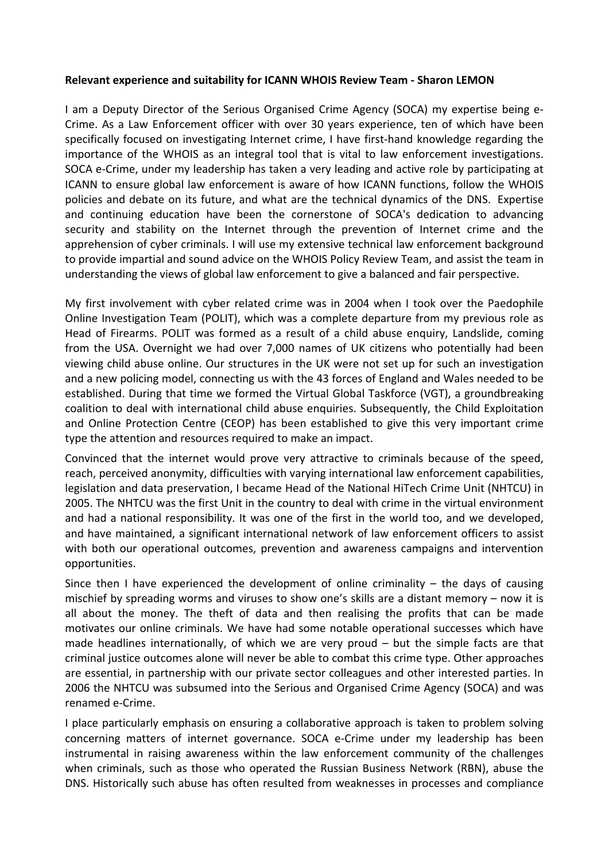## **Relevant experience and suitability for ICANN WHOIS Review Team ‐ Sharon LEMON**

I am a Deputy Director of the Serious Organised Crime Agency (SOCA) my expertise being e‐ Crime. As a Law Enforcement officer with over 30 years experience, ten of which have been specifically focused on investigating Internet crime, I have first-hand knowledge regarding the importance of the WHOIS as an integral tool that is vital to law enforcement investigations. SOCA e‐Crime, under my leadership has taken a very leading and active role by participating at ICANN to ensure global law enforcement is aware of how ICANN functions, follow the WHOIS policies and debate on its future, and what are the technical dynamics of the DNS. Expertise and continuing education have been the cornerstone of SOCA's dedication to advancing security and stability on the Internet through the prevention of Internet crime and the apprehension of cyber criminals. I will use my extensive technical law enforcement background to provide impartial and sound advice on the WHOIS Policy Review Team, and assist the team in understanding the views of global law enforcement to give a balanced and fair perspective.

My first involvement with cyber related crime was in 2004 when I took over the Paedophile Online Investigation Team (POLIT), which was a complete departure from my previous role as Head of Firearms. POLIT was formed as a result of a child abuse enquiry, Landslide, coming from the USA. Overnight we had over 7,000 names of UK citizens who potentially had been viewing child abuse online. Our structures in the UK were not set up for such an investigation and a new policing model, connecting us with the 43 forces of England and Wales needed to be established. During that time we formed the Virtual Global Taskforce (VGT), a groundbreaking coalition to deal with international child abuse enquiries. Subsequently, the Child Exploitation and Online Protection Centre (CEOP) has been established to give this very important crime type the attention and resources required to make an impact.

Convinced that the internet would prove very attractive to criminals because of the speed, reach, perceived anonymity, difficulties with varying international law enforcement capabilities, legislation and data preservation, I became Head of the National HiTech Crime Unit (NHTCU) in 2005. The NHTCU was the first Unit in the country to deal with crime in the virtual environment and had a national responsibility. It was one of the first in the world too, and we developed, and have maintained, a significant international network of law enforcement officers to assist with both our operational outcomes, prevention and awareness campaigns and intervention opportunities.

Since then I have experienced the development of online criminality  $-$  the days of causing mischief by spreading worms and viruses to show one's skills are a distant memory – now it is all about the money. The theft of data and then realising the profits that can be made motivates our online criminals. We have had some notable operational successes which have made headlines internationally, of which we are very proud – but the simple facts are that criminal justice outcomes alone will never be able to combat this crime type. Other approaches are essential, in partnership with our private sector colleagues and other interested parties. In 2006 the NHTCU was subsumed into the Serious and Organised Crime Agency (SOCA) and was renamed e‐Crime.

I place particularly emphasis on ensuring a collaborative approach is taken to problem solving concerning matters of internet governance. SOCA e‐Crime under my leadership has been instrumental in raising awareness within the law enforcement community of the challenges when criminals, such as those who operated the Russian Business Network (RBN), abuse the DNS. Historically such abuse has often resulted from weaknesses in processes and compliance